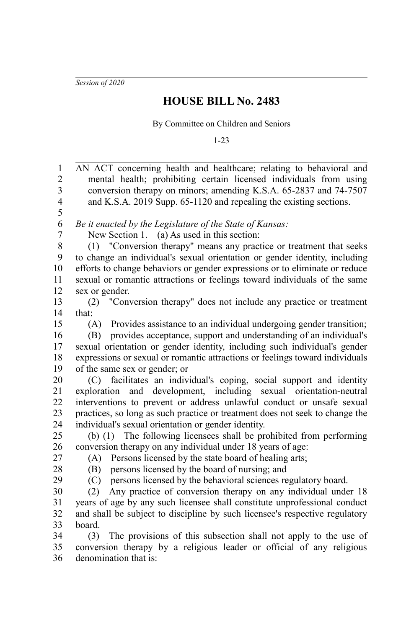*Session of 2020*

## **HOUSE BILL No. 2483**

By Committee on Children and Seniors

1-23

AN ACT concerning health and healthcare; relating to behavioral and mental health; prohibiting certain licensed individuals from using conversion therapy on minors; amending K.S.A. 65-2837 and 74-7507 and K.S.A. 2019 Supp. 65-1120 and repealing the existing sections. *Be it enacted by the Legislature of the State of Kansas:* New Section 1. (a) As used in this section: (1) "Conversion therapy" means any practice or treatment that seeks to change an individual's sexual orientation or gender identity, including efforts to change behaviors or gender expressions or to eliminate or reduce sexual or romantic attractions or feelings toward individuals of the same sex or gender. (2) "Conversion therapy" does not include any practice or treatment that: (A) Provides assistance to an individual undergoing gender transition; (B) provides acceptance, support and understanding of an individual's sexual orientation or gender identity, including such individual's gender expressions or sexual or romantic attractions or feelings toward individuals of the same sex or gender; or (C) facilitates an individual's coping, social support and identity exploration and development, including sexual orientation-neutral interventions to prevent or address unlawful conduct or unsafe sexual practices, so long as such practice or treatment does not seek to change the individual's sexual orientation or gender identity. (b) (1) The following licensees shall be prohibited from performing conversion therapy on any individual under 18 years of age: (A) Persons licensed by the state board of healing arts; (B) persons licensed by the board of nursing; and (C) persons licensed by the behavioral sciences regulatory board. (2) Any practice of conversion therapy on any individual under 18 years of age by any such licensee shall constitute unprofessional conduct and shall be subject to discipline by such licensee's respective regulatory board. (3) The provisions of this subsection shall not apply to the use of conversion therapy by a religious leader or official of any religious denomination that is: 1 2 3 4 5 6 7 8 9 10 11 12 13 14 15 16 17 18 19 20 21 22 23 24 25 26 27 28  $29$ 30 31 32 33 34 35 36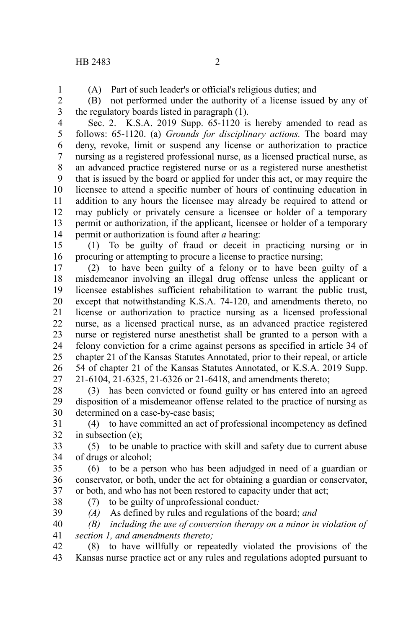1

(A) Part of such leader's or official's religious duties; and

(B) not performed under the authority of a license issued by any of the regulatory boards listed in paragraph (1). 2 3

Sec. 2. K.S.A. 2019 Supp. 65-1120 is hereby amended to read as follows: 65-1120. (a) *Grounds for disciplinary actions.* The board may deny, revoke, limit or suspend any license or authorization to practice nursing as a registered professional nurse, as a licensed practical nurse, as an advanced practice registered nurse or as a registered nurse anesthetist that is issued by the board or applied for under this act, or may require the licensee to attend a specific number of hours of continuing education in addition to any hours the licensee may already be required to attend or may publicly or privately censure a licensee or holder of a temporary permit or authorization, if the applicant, licensee or holder of a temporary permit or authorization is found after *a* hearing: 4 5 6 7 8 9 10 11 12 13 14

(1) To be guilty of fraud or deceit in practicing nursing or in procuring or attempting to procure a license to practice nursing; 15 16

(2) to have been guilty of a felony or to have been guilty of a misdemeanor involving an illegal drug offense unless the applicant or licensee establishes sufficient rehabilitation to warrant the public trust, except that notwithstanding K.S.A. 74-120, and amendments thereto, no license or authorization to practice nursing as a licensed professional nurse, as a licensed practical nurse, as an advanced practice registered nurse or registered nurse anesthetist shall be granted to a person with a felony conviction for a crime against persons as specified in article 34 of chapter 21 of the Kansas Statutes Annotated, prior to their repeal, or article 54 of chapter 21 of the Kansas Statutes Annotated, or K.S.A. 2019 Supp. 21-6104, 21-6325, 21-6326 or 21-6418, and amendments thereto; 17 18 19 20 21 22 23 24 25 26 27

(3) has been convicted or found guilty or has entered into an agreed disposition of a misdemeanor offense related to the practice of nursing as determined on a case-by-case basis; 28 29 30

(4) to have committed an act of professional incompetency as defined in subsection (e); 31 32

(5) to be unable to practice with skill and safety due to current abuse of drugs or alcohol; 33 34

(6) to be a person who has been adjudged in need of a guardian or conservator, or both, under the act for obtaining a guardian or conservator, or both, and who has not been restored to capacity under that act; 35 36 37

38 39 (7) to be guilty of unprofessional conduct*:*

- *(A)* As defined by rules and regulations of the board; *and*
- *(B) including the use of conversion therapy on a minor in violation of section 1, and amendments thereto;* 40 41

(8) to have willfully or repeatedly violated the provisions of the Kansas nurse practice act or any rules and regulations adopted pursuant to 42 43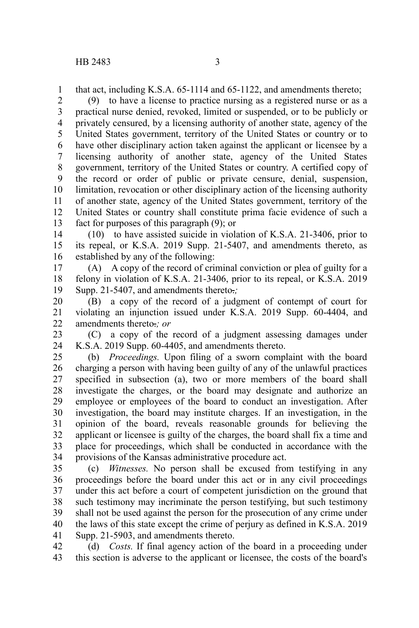that act, including K.S.A. 65-1114 and 65-1122, and amendments thereto; 1

(9) to have a license to practice nursing as a registered nurse or as a practical nurse denied, revoked, limited or suspended, or to be publicly or privately censured, by a licensing authority of another state, agency of the United States government, territory of the United States or country or to have other disciplinary action taken against the applicant or licensee by a licensing authority of another state, agency of the United States government, territory of the United States or country. A certified copy of the record or order of public or private censure, denial, suspension, limitation, revocation or other disciplinary action of the licensing authority of another state, agency of the United States government, territory of the United States or country shall constitute prima facie evidence of such a fact for purposes of this paragraph (9); or 2 3 4 5 6 7 8 9 10 11 12 13

(10) to have assisted suicide in violation of K.S.A. 21-3406, prior to its repeal, or K.S.A. 2019 Supp. 21-5407, and amendments thereto, as established by any of the following: 14 15 16

(A) A copy of the record of criminal conviction or plea of guilty for a felony in violation of K.S.A. 21-3406, prior to its repeal, or K.S.A. 2019 Supp. 21-5407, and amendments thereto.*;* 17 18 19

(B) a copy of the record of a judgment of contempt of court for violating an injunction issued under K.S.A. 2019 Supp. 60-4404, and amendments thereto.*; or* 20 21 22

(C) a copy of the record of a judgment assessing damages under K.S.A. 2019 Supp. 60-4405, and amendments thereto. 23 24

(b) *Proceedings.* Upon filing of a sworn complaint with the board charging a person with having been guilty of any of the unlawful practices specified in subsection (a), two or more members of the board shall investigate the charges, or the board may designate and authorize an employee or employees of the board to conduct an investigation. After investigation, the board may institute charges. If an investigation, in the opinion of the board, reveals reasonable grounds for believing the applicant or licensee is guilty of the charges, the board shall fix a time and place for proceedings, which shall be conducted in accordance with the provisions of the Kansas administrative procedure act. 25 26 27 28 29 30 31 32 33 34

(c) *Witnesses.* No person shall be excused from testifying in any proceedings before the board under this act or in any civil proceedings under this act before a court of competent jurisdiction on the ground that such testimony may incriminate the person testifying, but such testimony shall not be used against the person for the prosecution of any crime under the laws of this state except the crime of perjury as defined in K.S.A. 2019 Supp. 21-5903, and amendments thereto. 35 36 37 38 39 40 41

(d) *Costs.* If final agency action of the board in a proceeding under this section is adverse to the applicant or licensee, the costs of the board's 42 43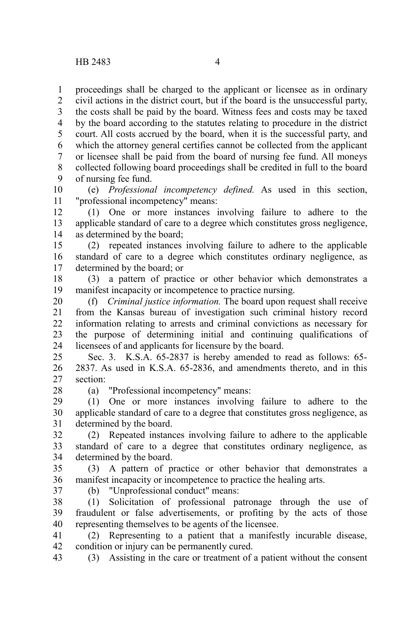proceedings shall be charged to the applicant or licensee as in ordinary civil actions in the district court, but if the board is the unsuccessful party, 1 2

the costs shall be paid by the board. Witness fees and costs may be taxed by the board according to the statutes relating to procedure in the district court. All costs accrued by the board, when it is the successful party, and which the attorney general certifies cannot be collected from the applicant or licensee shall be paid from the board of nursing fee fund. All moneys collected following board proceedings shall be credited in full to the board of nursing fee fund. 3 4 5 6 7 8 9

(e) *Professional incompetency defined.* As used in this section, "professional incompetency" means: 10 11

(1) One or more instances involving failure to adhere to the applicable standard of care to a degree which constitutes gross negligence, as determined by the board; 12 13 14

(2) repeated instances involving failure to adhere to the applicable standard of care to a degree which constitutes ordinary negligence, as determined by the board; or 15 16 17

(3) a pattern of practice or other behavior which demonstrates a manifest incapacity or incompetence to practice nursing. 18 19

(f) *Criminal justice information.* The board upon request shall receive from the Kansas bureau of investigation such criminal history record information relating to arrests and criminal convictions as necessary for the purpose of determining initial and continuing qualifications of licensees of and applicants for licensure by the board. 20 21 22 23 24

Sec. 3. K.S.A. 65-2837 is hereby amended to read as follows: 65- 2837. As used in K.S.A. 65-2836, and amendments thereto, and in this section: 25 26 27

28

(a) "Professional incompetency" means:

(1) One or more instances involving failure to adhere to the applicable standard of care to a degree that constitutes gross negligence, as determined by the board. 29 30 31

(2) Repeated instances involving failure to adhere to the applicable standard of care to a degree that constitutes ordinary negligence, as determined by the board. 32 33 34

(3) A pattern of practice or other behavior that demonstrates a manifest incapacity or incompetence to practice the healing arts. 35 36

37

(b) "Unprofessional conduct" means:

(1) Solicitation of professional patronage through the use of fraudulent or false advertisements, or profiting by the acts of those representing themselves to be agents of the licensee. 38 39 40

(2) Representing to a patient that a manifestly incurable disease, condition or injury can be permanently cured. 41 42

(3) Assisting in the care or treatment of a patient without the consent 43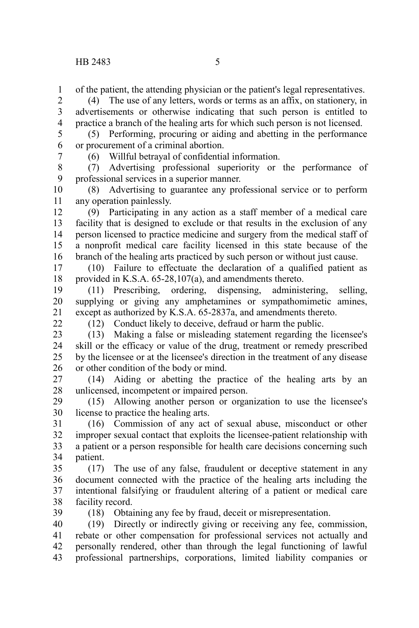of the patient, the attending physician or the patient's legal representatives. 1

(4) The use of any letters, words or terms as an affix, on stationery, in advertisements or otherwise indicating that such person is entitled to practice a branch of the healing arts for which such person is not licensed. 2 3 4

(5) Performing, procuring or aiding and abetting in the performance or procurement of a criminal abortion. 5 6

7

(6) Willful betrayal of confidential information.

(7) Advertising professional superiority or the performance of professional services in a superior manner. 8 9

(8) Advertising to guarantee any professional service or to perform any operation painlessly. 10 11

(9) Participating in any action as a staff member of a medical care facility that is designed to exclude or that results in the exclusion of any person licensed to practice medicine and surgery from the medical staff of a nonprofit medical care facility licensed in this state because of the branch of the healing arts practiced by such person or without just cause. 12 13 14 15 16

(10) Failure to effectuate the declaration of a qualified patient as provided in K.S.A. 65-28,107(a), and amendments thereto. 17 18

(11) Prescribing, ordering, dispensing, administering, selling, supplying or giving any amphetamines or sympathomimetic amines, except as authorized by K.S.A. 65-2837a, and amendments thereto. 19 20 21

 $22$ 

(12) Conduct likely to deceive, defraud or harm the public.

(13) Making a false or misleading statement regarding the licensee's skill or the efficacy or value of the drug, treatment or remedy prescribed by the licensee or at the licensee's direction in the treatment of any disease or other condition of the body or mind. 23 24 25 26

(14) Aiding or abetting the practice of the healing arts by an unlicensed, incompetent or impaired person. 27 28

(15) Allowing another person or organization to use the licensee's license to practice the healing arts. 29 30

(16) Commission of any act of sexual abuse, misconduct or other improper sexual contact that exploits the licensee-patient relationship with a patient or a person responsible for health care decisions concerning such patient. 31 32 33 34

(17) The use of any false, fraudulent or deceptive statement in any document connected with the practice of the healing arts including the intentional falsifying or fraudulent altering of a patient or medical care facility record. 35 36 37 38

39

(18) Obtaining any fee by fraud, deceit or misrepresentation.

(19) Directly or indirectly giving or receiving any fee, commission, rebate or other compensation for professional services not actually and personally rendered, other than through the legal functioning of lawful professional partnerships, corporations, limited liability companies or 40 41 42 43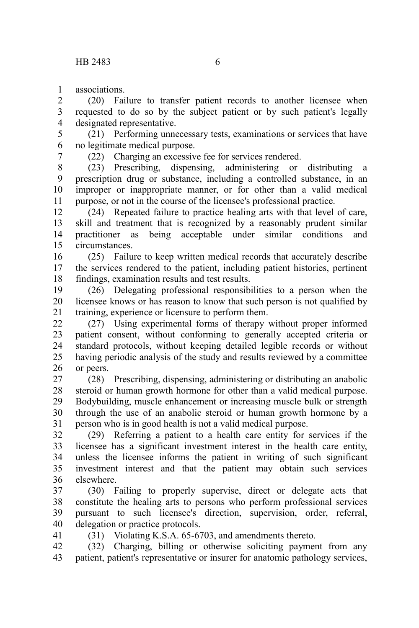associations. 1

(20) Failure to transfer patient records to another licensee when requested to do so by the subject patient or by such patient's legally designated representative. 2 3 4

(21) Performing unnecessary tests, examinations or services that have no legitimate medical purpose. 5 6

7

41

(22) Charging an excessive fee for services rendered.

(23) Prescribing, dispensing, administering or distributing a prescription drug or substance, including a controlled substance, in an improper or inappropriate manner, or for other than a valid medical purpose, or not in the course of the licensee's professional practice. 8 9 10 11

(24) Repeated failure to practice healing arts with that level of care, skill and treatment that is recognized by a reasonably prudent similar practitioner as being acceptable under similar conditions and circumstances. 12 13 14 15

(25) Failure to keep written medical records that accurately describe the services rendered to the patient, including patient histories, pertinent findings, examination results and test results. 16 17 18

(26) Delegating professional responsibilities to a person when the licensee knows or has reason to know that such person is not qualified by training, experience or licensure to perform them. 19 20 21

(27) Using experimental forms of therapy without proper informed patient consent, without conforming to generally accepted criteria or standard protocols, without keeping detailed legible records or without having periodic analysis of the study and results reviewed by a committee or peers. 22 23 24 25 26

(28) Prescribing, dispensing, administering or distributing an anabolic steroid or human growth hormone for other than a valid medical purpose. Bodybuilding, muscle enhancement or increasing muscle bulk or strength through the use of an anabolic steroid or human growth hormone by a person who is in good health is not a valid medical purpose. 27 28 29 30 31

(29) Referring a patient to a health care entity for services if the licensee has a significant investment interest in the health care entity, unless the licensee informs the patient in writing of such significant investment interest and that the patient may obtain such services elsewhere. 32 33 34 35 36

(30) Failing to properly supervise, direct or delegate acts that constitute the healing arts to persons who perform professional services pursuant to such licensee's direction, supervision, order, referral, delegation or practice protocols. 37 38 39 40

(31) Violating K.S.A. 65-6703, and amendments thereto.

(32) Charging, billing or otherwise soliciting payment from any patient, patient's representative or insurer for anatomic pathology services, 42 43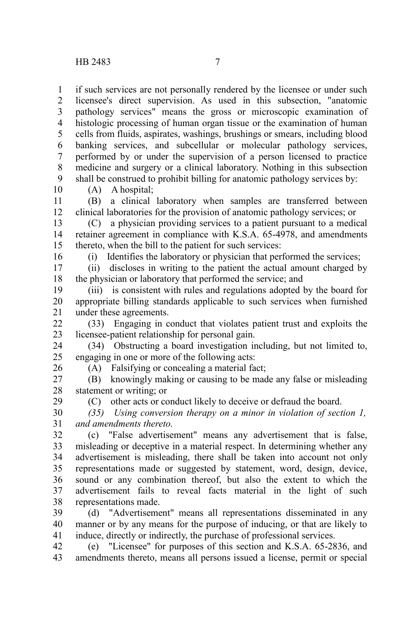if such services are not personally rendered by the licensee or under such licensee's direct supervision. As used in this subsection, "anatomic pathology services" means the gross or microscopic examination of histologic processing of human organ tissue or the examination of human cells from fluids, aspirates, washings, brushings or smears, including blood banking services, and subcellular or molecular pathology services, performed by or under the supervision of a person licensed to practice medicine and surgery or a clinical laboratory. Nothing in this subsection shall be construed to prohibit billing for anatomic pathology services by: 1 2 3 4 5 6 7 8 9

10

16

(A) A hospital;

(B) a clinical laboratory when samples are transferred between clinical laboratories for the provision of anatomic pathology services; or 11 12

(C) a physician providing services to a patient pursuant to a medical retainer agreement in compliance with K.S.A. 65-4978, and amendments thereto, when the bill to the patient for such services: 13 14 15

(i) Identifies the laboratory or physician that performed the services;

(ii) discloses in writing to the patient the actual amount charged by the physician or laboratory that performed the service; and 17 18

(iii) is consistent with rules and regulations adopted by the board for appropriate billing standards applicable to such services when furnished under these agreements. 19 20 21

(33) Engaging in conduct that violates patient trust and exploits the licensee-patient relationship for personal gain. 22 23

(34) Obstructing a board investigation including, but not limited to, engaging in one or more of the following acts: 24 25

26

(A) Falsifying or concealing a material fact;

(B) knowingly making or causing to be made any false or misleading statement or writing; or 27 28 29

(C) other acts or conduct likely to deceive or defraud the board.

*(35) Using conversion therapy on a minor in violation of section 1, and amendments thereto.* 30 31

(c) "False advertisement" means any advertisement that is false, misleading or deceptive in a material respect. In determining whether any advertisement is misleading, there shall be taken into account not only representations made or suggested by statement, word, design, device, sound or any combination thereof, but also the extent to which the advertisement fails to reveal facts material in the light of such representations made. 32 33 34 35 36 37 38

(d) "Advertisement" means all representations disseminated in any manner or by any means for the purpose of inducing, or that are likely to induce, directly or indirectly, the purchase of professional services. 39 40 41

(e) "Licensee" for purposes of this section and K.S.A. 65-2836, and amendments thereto, means all persons issued a license, permit or special 42 43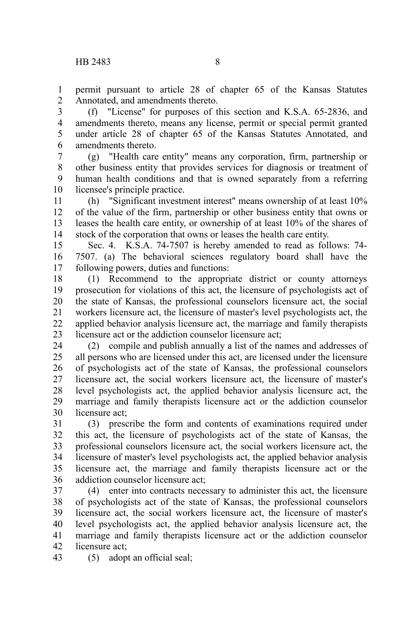permit pursuant to article 28 of chapter 65 of the Kansas Statutes Annotated, and amendments thereto. 1 2

(f) "License" for purposes of this section and K.S.A. 65-2836, and amendments thereto, means any license, permit or special permit granted under article 28 of chapter 65 of the Kansas Statutes Annotated, and amendments thereto. 3 4 5 6

(g) "Health care entity" means any corporation, firm, partnership or other business entity that provides services for diagnosis or treatment of human health conditions and that is owned separately from a referring licensee's principle practice. 7 8 9 10

(h) "Significant investment interest" means ownership of at least 10% of the value of the firm, partnership or other business entity that owns or leases the health care entity, or ownership of at least 10% of the shares of stock of the corporation that owns or leases the health care entity. 11 12 13 14

Sec. 4. K.S.A. 74-7507 is hereby amended to read as follows: 74- 7507. (a) The behavioral sciences regulatory board shall have the following powers, duties and functions: 15 16 17

(1) Recommend to the appropriate district or county attorneys prosecution for violations of this act, the licensure of psychologists act of the state of Kansas, the professional counselors licensure act, the social workers licensure act, the licensure of master's level psychologists act, the applied behavior analysis licensure act, the marriage and family therapists licensure act or the addiction counselor licensure act; 18 19 20 21 22 23

(2) compile and publish annually a list of the names and addresses of all persons who are licensed under this act, are licensed under the licensure of psychologists act of the state of Kansas, the professional counselors licensure act, the social workers licensure act, the licensure of master's level psychologists act, the applied behavior analysis licensure act, the marriage and family therapists licensure act or the addiction counselor licensure act; 24 25 26 27 28 29 30

(3) prescribe the form and contents of examinations required under this act, the licensure of psychologists act of the state of Kansas, the professional counselors licensure act, the social workers licensure act, the licensure of master's level psychologists act, the applied behavior analysis licensure act, the marriage and family therapists licensure act or the addiction counselor licensure act; 31 32 33 34 35 36

(4) enter into contracts necessary to administer this act, the licensure of psychologists act of the state of Kansas, the professional counselors licensure act, the social workers licensure act, the licensure of master's level psychologists act, the applied behavior analysis licensure act, the marriage and family therapists licensure act or the addiction counselor licensure act; 37 38 39 40 41 42

(5) adopt an official seal; 43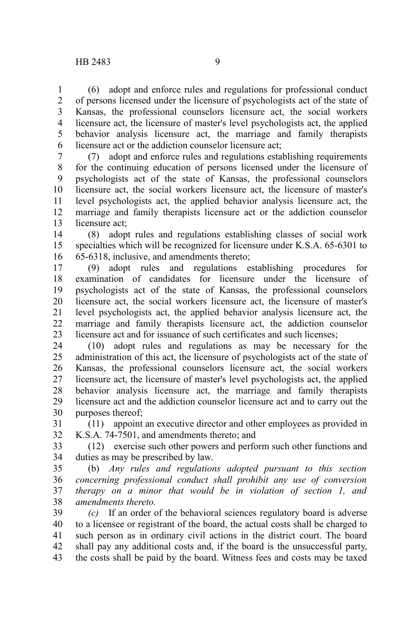(6) adopt and enforce rules and regulations for professional conduct of persons licensed under the licensure of psychologists act of the state of Kansas, the professional counselors licensure act, the social workers licensure act, the licensure of master's level psychologists act, the applied behavior analysis licensure act, the marriage and family therapists licensure act or the addiction counselor licensure act; 1 2 3 4 5 6

(7) adopt and enforce rules and regulations establishing requirements for the continuing education of persons licensed under the licensure of psychologists act of the state of Kansas, the professional counselors licensure act, the social workers licensure act, the licensure of master's level psychologists act, the applied behavior analysis licensure act, the marriage and family therapists licensure act or the addiction counselor licensure act; 7 8 9 10 11 12 13

(8) adopt rules and regulations establishing classes of social work specialties which will be recognized for licensure under K.S.A. 65-6301 to 65-6318, inclusive, and amendments thereto; 14 15 16

(9) adopt rules and regulations establishing procedures for examination of candidates for licensure under the licensure of psychologists act of the state of Kansas, the professional counselors licensure act, the social workers licensure act, the licensure of master's level psychologists act, the applied behavior analysis licensure act, the marriage and family therapists licensure act, the addiction counselor licensure act and for issuance of such certificates and such licenses; 17 18 19 20 21 22 23

(10) adopt rules and regulations as may be necessary for the administration of this act, the licensure of psychologists act of the state of Kansas, the professional counselors licensure act, the social workers licensure act, the licensure of master's level psychologists act, the applied behavior analysis licensure act, the marriage and family therapists licensure act and the addiction counselor licensure act and to carry out the purposes thereof; 24 25 26 27 28 29 30

(11) appoint an executive director and other employees as provided in K.S.A. 74-7501, and amendments thereto; and 31 32

(12) exercise such other powers and perform such other functions and duties as may be prescribed by law. 33 34

(b) *Any rules and regulations adopted pursuant to this section concerning professional conduct shall prohibit any use of conversion therapy on a minor that would be in violation of section 1, and amendments thereto.*  35 36 37 38

*(c)* If an order of the behavioral sciences regulatory board is adverse to a licensee or registrant of the board, the actual costs shall be charged to such person as in ordinary civil actions in the district court. The board shall pay any additional costs and, if the board is the unsuccessful party, the costs shall be paid by the board. Witness fees and costs may be taxed 39 40 41 42 43